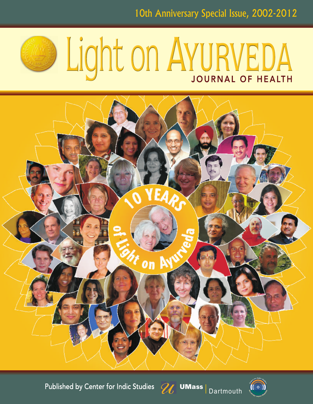

## Light on AYURVEDA





UMass Dartmouth

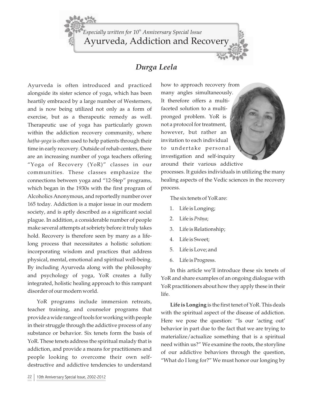Ayurveda, Addiction and Recovery *th Especially written for 10 Anniversary Special Issue*

## *Durga Leela*

Ayurveda is often introduced and practiced alongside its sister science of yoga, which has been heartily embraced by a large number of Westerners, and is now being utilized not only as a form of exercise, but as a therapeutic remedy as well. Therapeutic use of yoga has particularly grown within the addiction recovery community, where hatha-yoga is often used to help patients through their time in early recovery. Outside of rehab centers, there are an increasing number of yoga teachers offering "Yoga of Recovery (YoR)" classes in our communities. These classes emphasize the connections between yoga and "12-Step" programs, which began in the 1930s with the first program of Alcoholics Anonymous, and reportedly number over 165 today. Addiction is a major issue in our modern society, and is aptly described as a significant social plague. In addition, a considerable number of people make several attempts at sobriety before it truly takes hold. Recovery is therefore seen by many as a lifelong process that necessitates a holistic solution: incorporating wisdom and practices that address physical, mental, emotional and spiritual well-being. By including Ayurveda along with the philosophy and psychology of yoga, YoR creates a fully integrated, holistic healing approach to this rampant disorder of our modern world.

YoR programs include immersion retreats, teacher training, and counselor programs that provide a wide range of tools for working with people in their struggle through the addictive process of any substance or behavior. Six tenets form the basis of YoR. These tenets address the spiritual malady that is addiction, and provide a means for practitioners and people looking to overcome their own selfdestructive and addictive tendencies to understand

how to approach recovery from many angles simultaneously. It therefore offers a multifaceted solution to a multipronged problem. YoR is not a protocol for treatment, however, but rather an invitation to each individual to undertake personal investigation and self-inquiry around their various addictive

processes. It guides individuals in utilizing the many healing aspects of the Vedic sciences in the recovery process.

The six tenets of YoR are:

- 1. Life is Longing;
- 2. Life is Prāņa;
- 3. Life is Relationship;
- 4. Life is Sweet;
- 5. Life is Love; and
- 6. Life is Progress.

In this article we'll introduce these six tenets of YoR and share examples of an ongoing dialogue with YoR practitioners about how they apply these in their life.

**Life is Longing** is the first tenet of YoR. This deals with the spiritual aspect of the disease of addiction. Here we pose the question: "Is our 'acting out' behavior in part due to the fact that we are trying to materialize/actualize something that is a spiritual need within us?" We examine the roots, the storyline of our addictive behaviors through the question, "What do I long for?" We must honor our longing by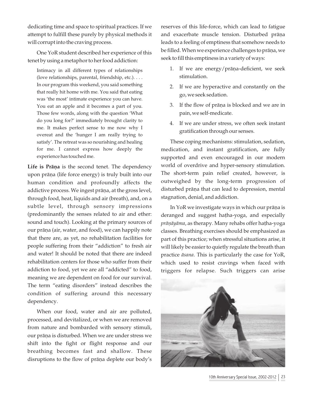dedicating time and space to spiritual practices. If we attempt to fulfill these purely by physical methods it will corrupt into the craving process.

One YoR student described her experience of this tenet by using a metaphor to her food addiction:

Intimacy in all different types of relationships (love relationships, parental, friendship, etc.). . . . In our program this weekend, you said something that really hit home with me. You said that eating was 'the most' intimate experience you can have. You eat an apple and it becomes a part of you. Those few words, along with the question 'What do you long for?' immediately brought clarity to me. It makes perfect sense to me now why I overeat and the 'hunger I am really trying to satisfy'. The retreat was so nourishing and healing for me. I cannot express how deeply the experience has touched me.

Life is Prana is the second tenet. The dependency upon prāņa (life force energy) is truly built into our human condition and profoundly affects the addictive process. We ingest prāņa, at the gross level, through food, heat, liquids and air (breath), and, on a subtle level, through sensory impressions (predominantly the senses related to air and ether: sound and touch). Looking at the primary sources of our prāņa (air, water, and food), we can happily note that there are, as yet, no rehabilitation facilities for people suffering from their "addiction" to fresh air and water! It should be noted that there are indeed rehabilitation centers for those who suffer from their addiction to food, yet we are all "addicted" to food, meaning we are dependent on food for our survival. The term "eating disorders" instead describes the condition of suffering around this necessary dependency.

When our food, water and air are polluted, processed, and devitalized, or when we are removed from nature and bombarded with sensory stimuli, our prāņa is disturbed. When we are under stress we shift into the fight or flight response and our breathing becomes fast and shallow. These disruptions to the flow of prāņa deplete our body's

reserves of this life-force, which can lead to fatigue and exacerbate muscle tension. Disturbed prāņa leads to a feeling of emptiness that somehow needs to be filled. When we experience challenges to prāņa, we seek to fill this emptiness in a variety of ways:

- 1. If we are energy/prāṇa-deficient, we seek stimulation.
- 2. If we are hyperactive and constantly on the go, we seek sedation.
- 3. If the flow of prāṇa is blocked and we are in pain, we self-medicate.
- 4. If we are under stress, we often seek instant gratification through our senses.

These coping mechanisms: stimulation, sedation, medication, and instant gratification, are fully supported and even encouraged in our modern world of overdrive and hyper-sensory stimulation. The short-term pain relief created, however, is outweighed by the long-term progression of disturbed prāņa that can lead to depression, mental stagnation, denial, and addiction.

In YoR we investigate ways in which our prāņa is deranged and suggest hatha-yoga, and especially *prāṇāyāma*, as therapy. Many rehabs offer haṭha-yoga classes. Breathing exercises should be emphasized as part of this practice; when stressful situations arise, it will likely be easier to quietly regulate the breath than practice *āsana*. This is particularly the case for YoR, which used to resist cravings when faced with triggers for relapse. Such triggers can arise

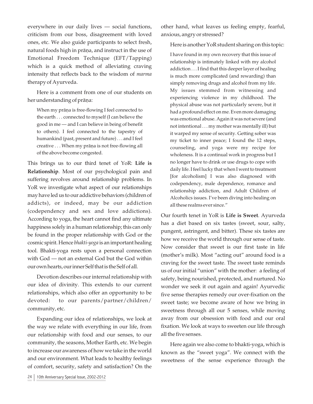everywhere in our daily lives — social functions, criticism from our boss, disagreement with loved ones, etc. We also guide participants to select fresh, natural foods high in prāņa, and instruct in the use of Emotional Freedom Technique (EFT/Tapping) which is a quick method of alleviating craving intensity that reflects back to the wisdom of *marma*  therapy of Ayurveda.

Here is a comment from one of our students on her understanding of prāņa:

When my prāņa is free-flowing I feel connected to the earth . . . connected to myself (I can believe the good in me — and I can believe in being of benefit to others). I feel connected to the tapestry of humankind (past, present and future) . . . and I feel creative . . . When my prāņa is not free-flowing all of the above become congested.

This brings us to our third tenet of YoR: **Life is Relationship**. Most of our psychological pain and suffering revolves around relationship problems. In YoR we investigate what aspect of our relationships may have led us to our addictive behaviors (children of addicts), or indeed, may be our addiction (codependency and sex and love addictions). According to yoga, the heart cannot find any ultimate happiness solely in a human relationship; this can only be found in the proper relationship with God or the cosmic spirit. Hence *bhakti-yoga* is an important healing tool. Bhakti-yoga rests upon a personal connection with God — not an external God but the God within our own hearts, our inner Self that is the Self of all.

Devotion describes our internal relationship with our idea of divinity. This extends to our current relationships, which also offer an opportunity to be devoted: to our parents/partner/children/ community, etc.

Expanding our idea of relationships, we look at the way we relate with everything in our life, from our relationship with food and our senses, to our community, the seasons, Mother Earth, etc. We begin to increase our awareness of how we take in the world and our environment. What leads to healthy feelings of comfort, security, safety and satisfaction? On the other hand, what leaves us feeling empty, fearful, anxious, angry or stressed?

Here is another YoR student sharing on this topic:

I have found in my own recovery that this issue of relationship is intimately linked with my alcohol addiction . . . I find that this deeper layer of healing is much more complicated (and rewarding) than simply removing drugs and alcohol from my life. My issues stemmed from witnessing and experiencing violence in my childhood. The physical abuse was not particularly severe, but it had a profound effect on me. Even more damaging was emotional abuse. Again it was not severe (and not intentional . . . my mother was mentally ill) but it warped my sense of security. Getting sober was my ticket to inner peace; I found the 12 steps, counseling, and yoga were my recipe for wholeness. It is a continual work in progress but I no longer have to drink or use drugs to cope with daily life. I feel lucky that when I went to treatment [for alcoholism] I was also diagnosed with codependency, male dependence, romance and relationship addiction, and Adult Children of Alcoholics issues. I've been diving into healing on all these realms ever since."

Our fourth tenet in YoR is **Life is Sweet**. Ayurveda has a diet based on six tastes (sweet, sour, salty, pungent, astringent, and bitter). These six tastes are how we receive the world through our sense of taste. Now consider that sweet is our first taste in life (mother's milk). Most "acting out" around food is a craving for the sweet taste. The sweet taste reminds us of our initial "union" with the mother: a feeling of safety, being nourished, protected, and nurtured. No wonder we seek it out again and again! Ayurvedic five sense therapies remedy our over-fixation on the sweet taste; we become aware of how we bring in sweetness through all our 5 senses, while moving away from our obsession with food and our oral fixation. We look at ways to sweeten our life through all the five senses.

Here again we also come to bhakti-yoga, which is known as the "sweet yoga". We connect with the sweetness of the sense experience through the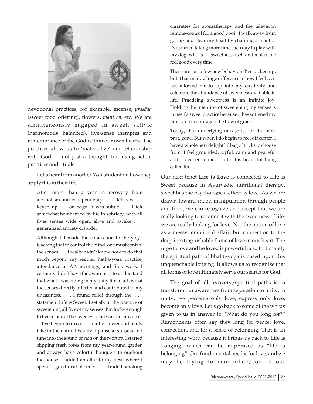

devotional practices, for example, incense, *prasāda* (sweet food offering), flowers, *mantra*s, etc. We are simultaneously engaged in sweet, sattvic (harmonious, balanced), five-sense therapies and remembrance of the God within our own hearts. The practices allow us to 'materialize' our relationship with God — not just a thought, but using actual practices and rituals.

Let's hear from another YoR student on how they apply this in their life:

After more than a year in recovery from alcoholism and codependency . . . I felt raw . . . keyed up . . . on edge. It was subtle. . . . I felt somewhat bombarded by life in sobriety, with all fives senses wide open, alive and awake . . . generalized anxiety disorder.

Although I'd made the connection to the yogic teaching that to control the mind, one must control the senses. . . . I really didn't know how to do that much beyond my regular hatha-yoga practice, attendance at AA meetings, and Step work. I certainly didn't have the awareness to understand that what I was doing in my daily life in all five of the senses directly affected and contributed to my uneasiness. . . . I found relief through the. . . . statement Life is Sweet. I set about the practice of sweetening all five of my senses. I'm lucky enough to live in one of the sweetest places in the universe . . . I've begun to drive . . . a little slower and really take in the natural beauty. I pause at sunsets and tune into the sound of rain on the rooftop. I started clipping fresh roses from my year-round garden and always have colorful bouquets throughout the house. I added an altar to my desk where I spend a good deal of time. . . . I traded smoking

cigarettes for aromatherapy and the television remote-control for a good book. I walk away from gossip and clear my head by chanting a mantra. I've started taking more time each day to play with my dog, who is . . . sweetness itself and makes me feel good every time.

These are just a few new behaviors I've picked up, but it has made a huge difference in how I feel . . . it has allowed me to tap into my creativity and celebrate the abundance of sweetness available in life. Practicing sweetness is an infinite joy! Holding the intention of sweetening my senses is in itself a sweet practice because it has softened my mind and encouraged the flow of grace.

Today, that underlying unease is, for the most part, gone. But when I do begin to feel off center, I have a whole new delightful bag of tricks to choose from. I feel grounded, joyful, calm and peaceful and a deeper connection to this beautiful thing called life.

Our next tenet **Life is Love** is connected to Life is Sweet because in Ayurvedic nutritional therapy, sweet has the psychological effect as love. As we are drawn toward mood-manipulation through people and food, we can recognize and accept that we are really looking to reconnect with the sweetness of life; we are really looking for love. Not the notion of love as a messy, emotional affair, but connection to the deep inextinguishable flame of love in our heart. The urge to love and be loved is powerful, and fortunately the spiritual path of bhakti-yoga is based upon this unquenchable longing. It allows us to recognize that all forms of love ultimately serve our search for God.

The goal of all recovery/spiritual paths is to transform our awareness from separation to unity. In unity, we perceive only love, express only love, become only love. Let's go back to some of the words given to us in answer to "What do you long for?" Respondents often say they long for peace, love, connection, and for a sense of belonging. That is an interesting word because it brings us back to Life is Longing, which can be re-phrased as "life is belonging". Our fundamental need is for love, and we may be trying to manipulate/control our